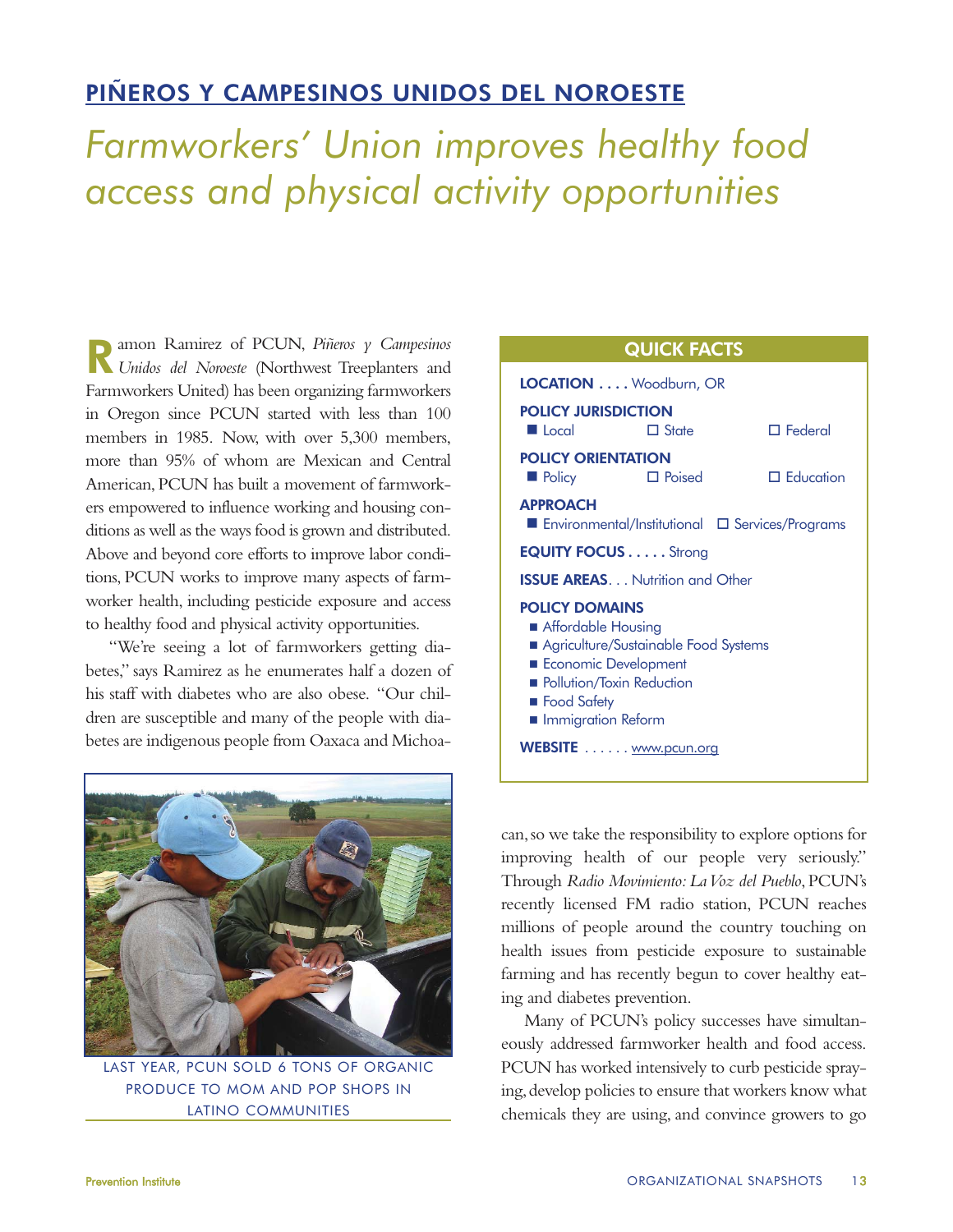## PIÑEROS Y CAMPESINOS UNIDOS DEL NOROESTE

Farmworkers' Union improves healthy food access and physical activity opportunities

Ramon Ramirez of PCUN, *Piñeros y Campesinos Unidos del Noroeste* (Northwest Treeplanters and Farmworkers United) has been organizing farmworkers in Oregon since PCUN started with less than 100 members in 1985. Now, with over 5,300 members, more than 95% of whom are Mexican and Central American, PCUN has built a movement of farmworkers empowered to influence working and housing conditions as well as the ways food is grown and distributed. Above and beyond core efforts to improve labor conditions, PCUN works to improve many aspects of farmworker health, including pesticide exposure and access to healthy food and physical activity opportunities.

"We're seeing a lot of farmworkers getting diabetes," says Ramirez as he enumerates half a dozen of his staff with diabetes who are also obese. "Our children are susceptible and many of the people with diabetes are indigenous people from Oaxaca and Michoa-



LAST YEAR, PCUN SOLD 6 TONS OF ORGANIC PRODUCE TO MOM AND POP SHOPS IN LATINO COMMUNITIES

| <b>QUICK FACTS</b>                                                                                                                                                                                           |  |                  |
|--------------------------------------------------------------------------------------------------------------------------------------------------------------------------------------------------------------|--|------------------|
| LOCATION Woodburn, OR                                                                                                                                                                                        |  |                  |
| <b>POLICY JURISDICTION</b>                                                                                                                                                                                   |  |                  |
| $\blacksquare$ Local<br>$\Box$ State                                                                                                                                                                         |  | $\Box$ Federal   |
| <b>POLICY ORIENTATION</b><br>$\Box$ Poised<br><b>D</b> Policy                                                                                                                                                |  | $\Box$ Education |
| <b>APPROACH</b><br>■ Environmental/Institutional ロ Services/Programs                                                                                                                                         |  |                  |
| <b>EQUITY FOCUS Strong</b>                                                                                                                                                                                   |  |                  |
| <b>ISSUE AREAS Nutrition and Other</b>                                                                                                                                                                       |  |                  |
| <b>POLICY DOMAINS</b><br>Affordable Housing<br>Agriculture/Sustainable Food Systems<br>Economic Development<br>Pollution/Toxin Reduction<br><b>Food Safety</b><br>Immigration Reform<br>WEBSITE www.pcun.org |  |                  |

can,so we take the responsibility to explore options for improving health of our people very seriously." Through *Radio Movimiento: La Voz del Pueblo*, PCUN's recently licensed FM radio station, PCUN reaches millions of people around the country touching on health issues from pesticide exposure to sustainable farming and has recently begun to cover healthy eating and diabetes prevention.

Many of PCUN's policy successes have simultaneously addressed farmworker health and food access. PCUN has worked intensively to curb pesticide spraying, develop policies to ensure that workers know what chemicals they are using, and convince growers to go